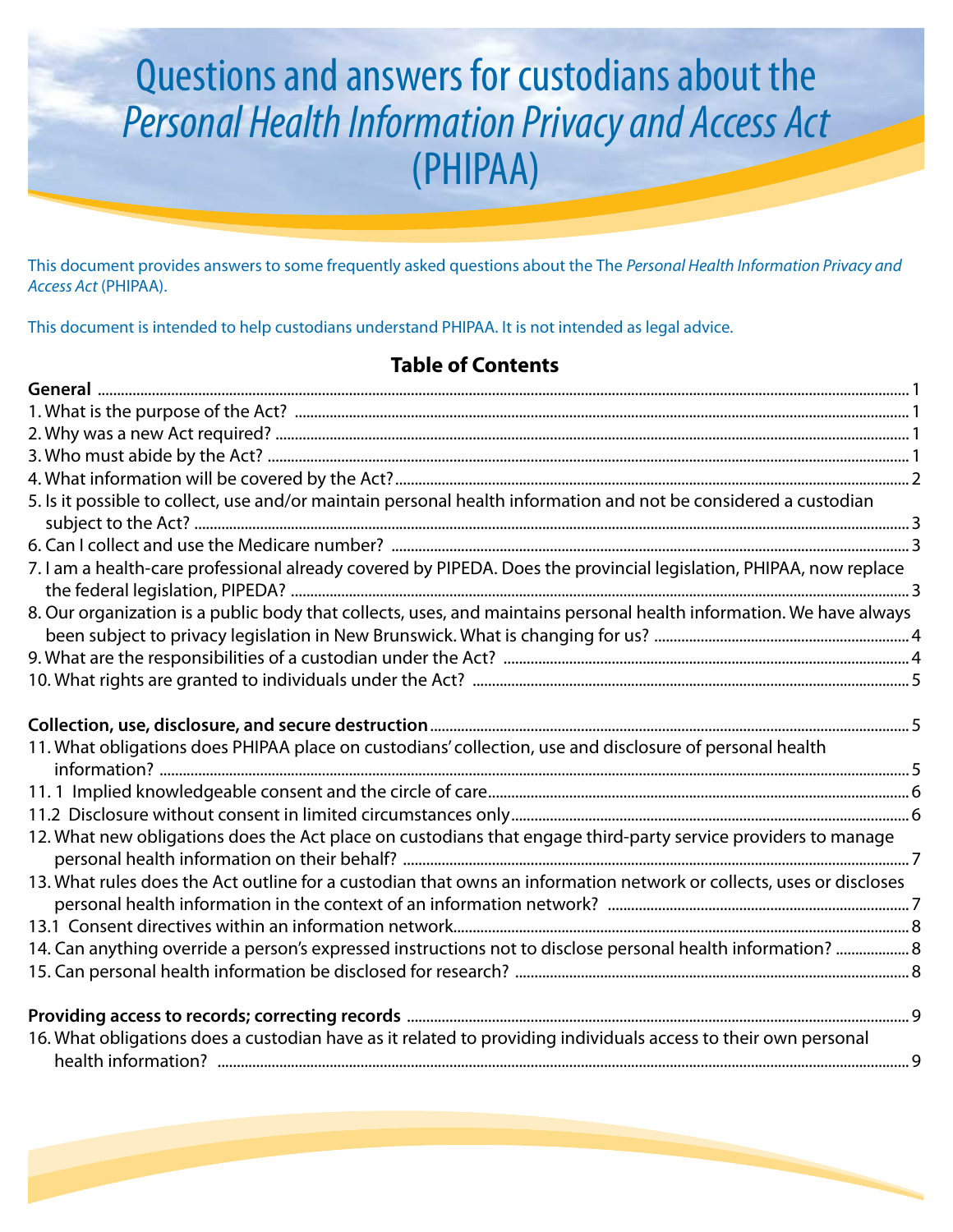# Questions and answers for custodians about the *Personal Health Information Privacy and Access Act* (PHIPAA)

This document provides answers to some frequently asked questions about the The *Personal Health Information Privacy and Access Act* (PHIPAA).

This document is intended to help custodians understand PHIPAA. It is not intended as legal advice.

#### **Table of Contents**

| 5. Is it possible to collect, use and/or maintain personal health information and not be considered a custodian     |
|---------------------------------------------------------------------------------------------------------------------|
|                                                                                                                     |
| 7. I am a health-care professional already covered by PIPEDA. Does the provincial legislation, PHIPAA, now replace  |
| 8. Our organization is a public body that collects, uses, and maintains personal health information. We have always |
|                                                                                                                     |
|                                                                                                                     |
|                                                                                                                     |
| 11. What obligations does PHIPAA place on custodians' collection, use and disclosure of personal health             |
|                                                                                                                     |
|                                                                                                                     |
| 12. What new obligations does the Act place on custodians that engage third-party service providers to manage       |
| 13. What rules does the Act outline for a custodian that owns an information network or collects, uses or discloses |
|                                                                                                                     |
| 14. Can anything override a person's expressed instructions not to disclose personal health information?  8         |
|                                                                                                                     |
|                                                                                                                     |
| 16. What obligations does a custodian have as it related to providing individuals access to their own personal      |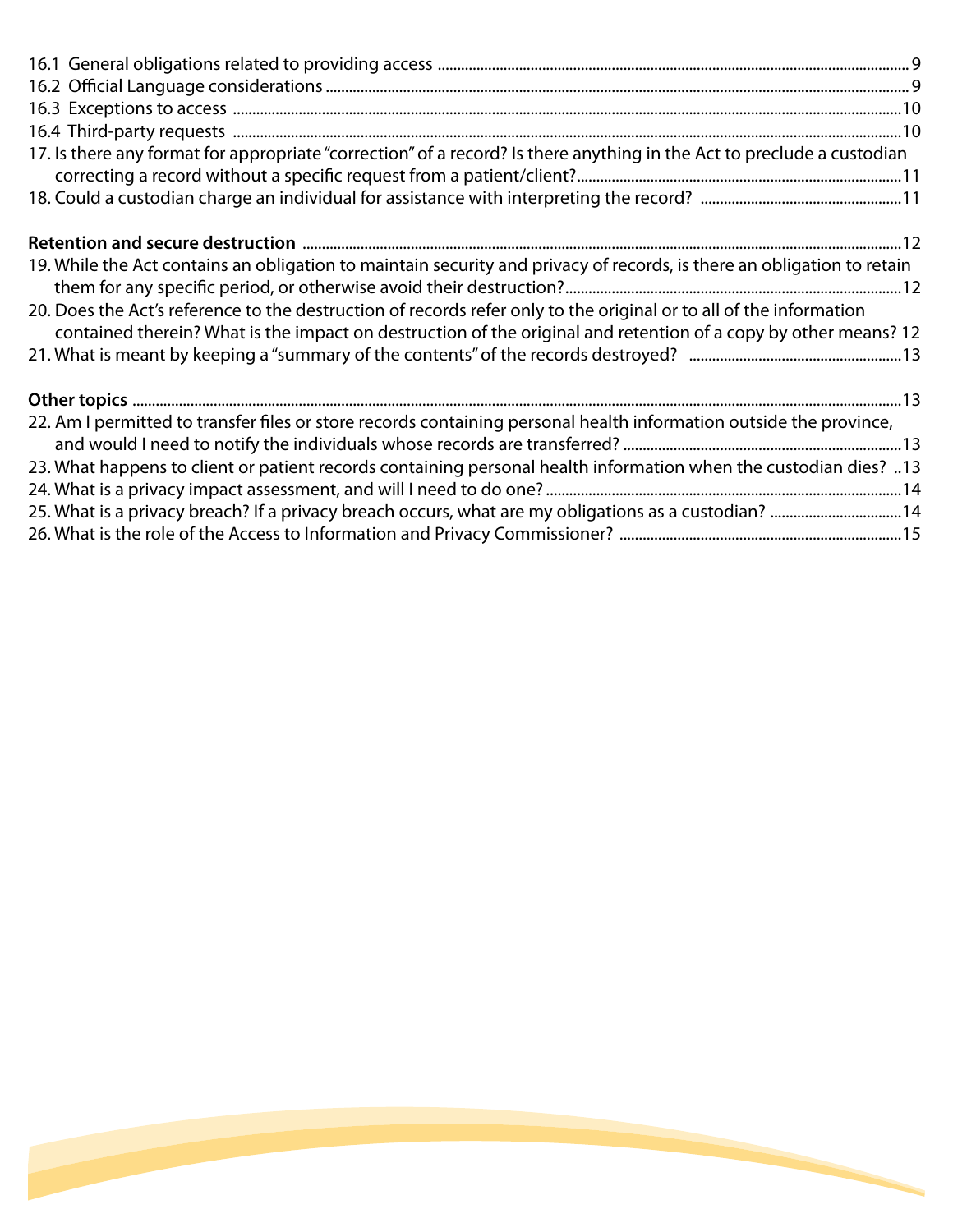| 17. Is there any format for appropriate "correction" of a record? Is there anything in the Act to preclude a custodian                                                                                                                |
|---------------------------------------------------------------------------------------------------------------------------------------------------------------------------------------------------------------------------------------|
|                                                                                                                                                                                                                                       |
|                                                                                                                                                                                                                                       |
|                                                                                                                                                                                                                                       |
| 19. While the Act contains an obligation to maintain security and privacy of records, is there an obligation to retain                                                                                                                |
| 20. Does the Act's reference to the destruction of records refer only to the original or to all of the information<br>contained therein? What is the impact on destruction of the original and retention of a copy by other means? 12 |
|                                                                                                                                                                                                                                       |
|                                                                                                                                                                                                                                       |
| 22. Am I permitted to transfer files or store records containing personal health information outside the province,                                                                                                                    |
|                                                                                                                                                                                                                                       |
| 13. What happens to client or patient records containing personal health information when the custodian dies? 13                                                                                                                      |
|                                                                                                                                                                                                                                       |
| 25. What is a privacy breach? If a privacy breach occurs, what are my obligations as a custodian? 14                                                                                                                                  |
|                                                                                                                                                                                                                                       |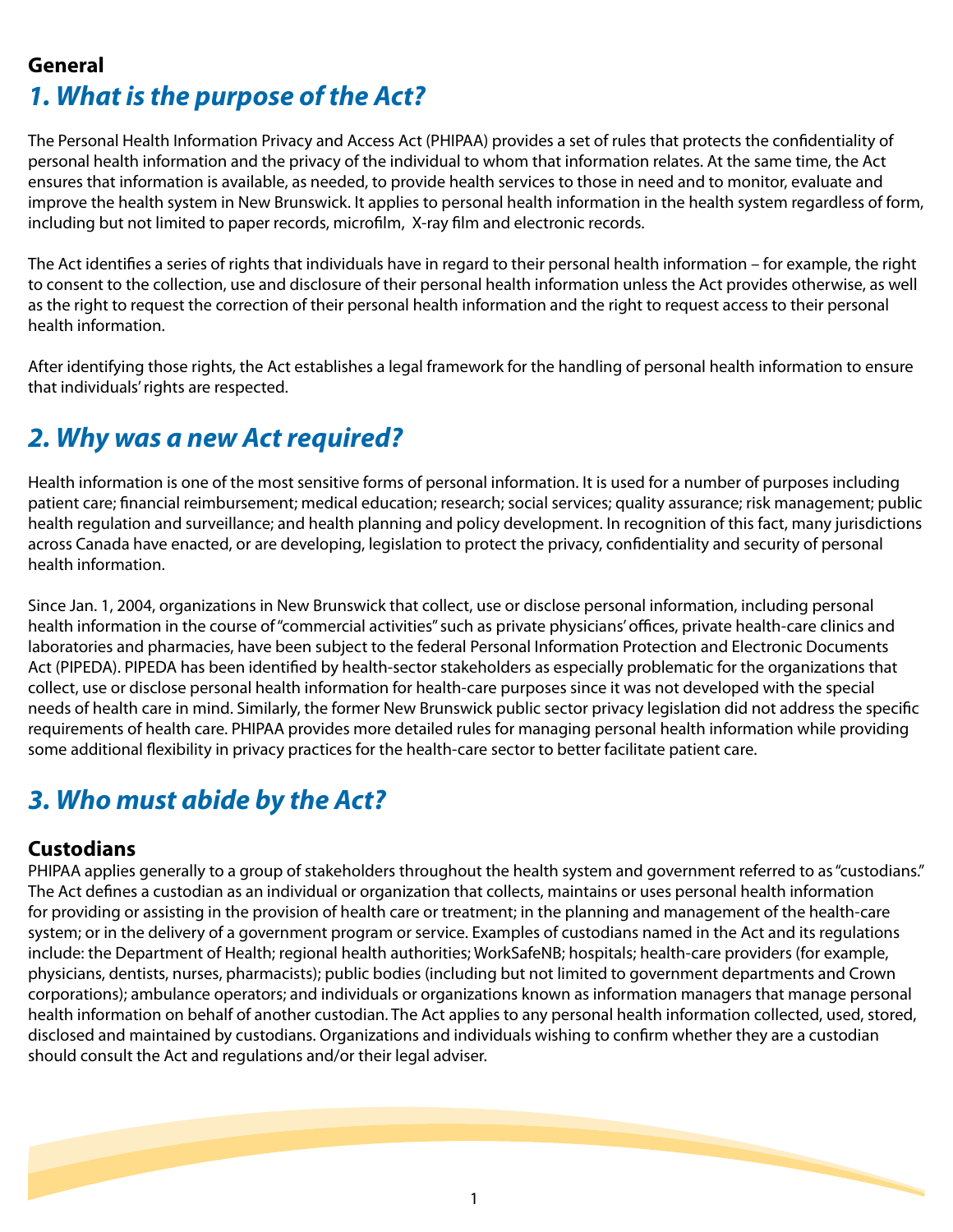#### **General**

# *1. What is the purpose of the Act?*

The Personal Health Information Privacy and Access Act (PHIPAA) provides a set of rules that protects the confidentiality of personal health information and the privacy of the individual to whom that information relates. At the same time, the Act ensures that information is available, as needed, to provide health services to those in need and to monitor, evaluate and improve the health system in New Brunswick. It applies to personal health information in the health system regardless of form, including but not limited to paper records, microfilm, X-ray film and electronic records.

The Act identifies a series of rights that individuals have in regard to their personal health information – for example, the right to consent to the collection, use and disclosure of their personal health information unless the Act provides otherwise, as well as the right to request the correction of their personal health information and the right to request access to their personal health information.

After identifying those rights, the Act establishes a legal framework for the handling of personal health information to ensure that individuals' rights are respected.

#### *2. Why was a new Act required?*

Health information is one of the most sensitive forms of personal information. It is used for a number of purposes including patient care; financial reimbursement; medical education; research; social services; quality assurance; risk management; public health regulation and surveillance; and health planning and policy development. In recognition of this fact, many jurisdictions across Canada have enacted, or are developing, legislation to protect the privacy, confidentiality and security of personal health information.

Since Jan. 1, 2004, organizations in New Brunswick that collect, use or disclose personal information, including personal health information in the course of "commercial activities" such as private physicians' offices, private health-care clinics and laboratories and pharmacies, have been subject to the federal Personal Information Protection and Electronic Documents Act (PIPEDA). PIPEDA has been identified by health-sector stakeholders as especially problematic for the organizations that collect, use or disclose personal health information for health-care purposes since it was not developed with the special needs of health care in mind. Similarly, the former New Brunswick public sector privacy legislation did not address the specific requirements of health care. PHIPAA provides more detailed rules for managing personal health information while providing some additional flexibility in privacy practices for the health-care sector to better facilitate patient care.

# *3. Who must abide by the Act?*

#### **Custodians**

PHIPAA applies generally to a group of stakeholders throughout the health system and government referred to as "custodians." The Act defines a custodian as an individual or organization that collects, maintains or uses personal health information for providing or assisting in the provision of health care or treatment; in the planning and management of the health-care system; or in the delivery of a government program or service. Examples of custodians named in the Act and its regulations include: the Department of Health; regional health authorities; WorkSafeNB; hospitals; health-care providers (for example, physicians, dentists, nurses, pharmacists); public bodies (including but not limited to government departments and Crown corporations); ambulance operators; and individuals or organizations known as information managers that manage personal health information on behalf of another custodian. The Act applies to any personal health information collected, used, stored, disclosed and maintained by custodians. Organizations and individuals wishing to confirm whether they are a custodian should consult the Act and regulations and/or their legal adviser.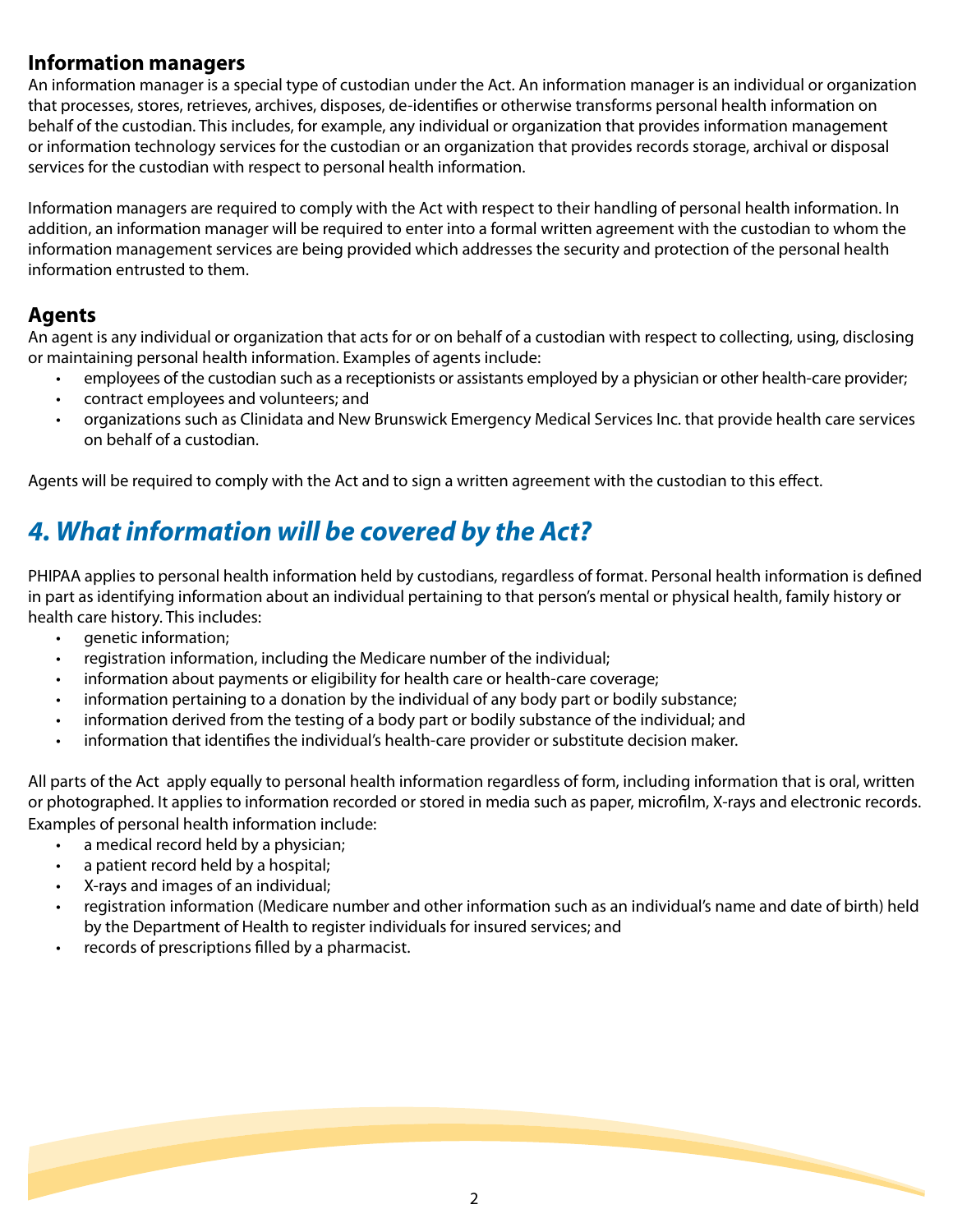#### **Information managers**

An information manager is a special type of custodian under the Act. An information manager is an individual or organization that processes, stores, retrieves, archives, disposes, de-identifies or otherwise transforms personal health information on behalf of the custodian. This includes, for example, any individual or organization that provides information management or information technology services for the custodian or an organization that provides records storage, archival or disposal services for the custodian with respect to personal health information.

Information managers are required to comply with the Act with respect to their handling of personal health information. In addition, an information manager will be required to enter into a formal written agreement with the custodian to whom the information management services are being provided which addresses the security and protection of the personal health information entrusted to them.

#### **Agents**

An agent is any individual or organization that acts for or on behalf of a custodian with respect to collecting, using, disclosing or maintaining personal health information. Examples of agents include:

- employees of the custodian such as a receptionists or assistants employed by a physician or other health-care provider;
- contract employees and volunteers; and
- organizations such as Clinidata and New Brunswick Emergency Medical Services Inc. that provide health care services on behalf of a custodian.

Agents will be required to comply with the Act and to sign a written agreement with the custodian to this effect.

### *4. What information will be covered by the Act?*

PHIPAA applies to personal health information held by custodians, regardless of format. Personal health information is defined in part as identifying information about an individual pertaining to that person's mental or physical health, family history or health care history. This includes:

- genetic information;
- registration information, including the Medicare number of the individual;
- information about payments or eligibility for health care or health-care coverage;
- information pertaining to a donation by the individual of any body part or bodily substance;
- information derived from the testing of a body part or bodily substance of the individual; and
- information that identifies the individual's health-care provider or substitute decision maker.

All parts of the Act apply equally to personal health information regardless of form, including information that is oral, written or photographed. It applies to information recorded or stored in media such as paper, microfilm, X-rays and electronic records. Examples of personal health information include:

- a medical record held by a physician;
- a patient record held by a hospital;
- X-rays and images of an individual;
- registration information (Medicare number and other information such as an individual's name and date of birth) held by the Department of Health to register individuals for insured services; and
- records of prescriptions filled by a pharmacist.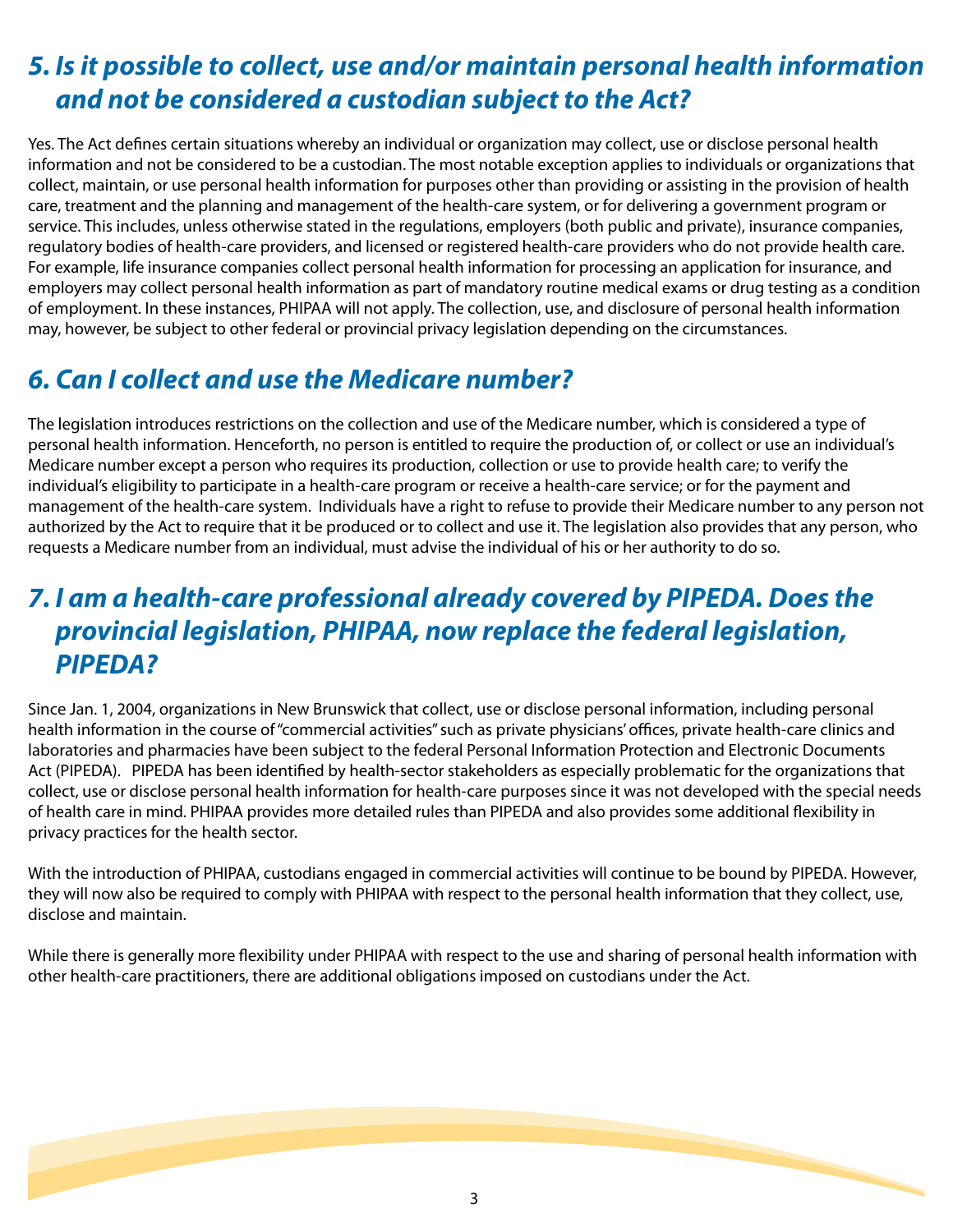### *5. Is it possible to collect, use and/or maintain personal health information and not be considered a custodian subject to the Act?*

Yes. The Act defines certain situations whereby an individual or organization may collect, use or disclose personal health information and not be considered to be a custodian. The most notable exception applies to individuals or organizations that collect, maintain, or use personal health information for purposes other than providing or assisting in the provision of health care, treatment and the planning and management of the health-care system, or for delivering a government program or service. This includes, unless otherwise stated in the regulations, employers (both public and private), insurance companies, regulatory bodies of health-care providers, and licensed or registered health-care providers who do not provide health care. For example, life insurance companies collect personal health information for processing an application for insurance, and employers may collect personal health information as part of mandatory routine medical exams or drug testing as a condition of employment. In these instances, PHIPAA will not apply. The collection, use, and disclosure of personal health information may, however, be subject to other federal or provincial privacy legislation depending on the circumstances.

# *6. Can I collect and use the Medicare number?*

The legislation introduces restrictions on the collection and use of the Medicare number, which is considered a type of personal health information. Henceforth, no person is entitled to require the production of, or collect or use an individual's Medicare number except a person who requires its production, collection or use to provide health care; to verify the individual's eligibility to participate in a health-care program or receive a health-care service; or for the payment and management of the health-care system. Individuals have a right to refuse to provide their Medicare number to any person not authorized by the Act to require that it be produced or to collect and use it. The legislation also provides that any person, who requests a Medicare number from an individual, must advise the individual of his or her authority to do so.

### *7. I am a health-care professional already covered by PIPEDA. Does the provincial legislation, PHIPAA, now replace the federal legislation, PIPEDA?*

Since Jan. 1, 2004, organizations in New Brunswick that collect, use or disclose personal information, including personal health information in the course of "commercial activities" such as private physicians' offices, private health-care clinics and laboratories and pharmacies have been subject to the federal Personal Information Protection and Electronic Documents Act (PIPEDA). PIPEDA has been identified by health-sector stakeholders as especially problematic for the organizations that collect, use or disclose personal health information for health-care purposes since it was not developed with the special needs of health care in mind. PHIPAA provides more detailed rules than PIPEDA and also provides some additional flexibility in privacy practices for the health sector.

With the introduction of PHIPAA, custodians engaged in commercial activities will continue to be bound by PIPEDA. However, they will now also be required to comply with PHIPAA with respect to the personal health information that they collect, use, disclose and maintain.

While there is generally more flexibility under PHIPAA with respect to the use and sharing of personal health information with other health-care practitioners, there are additional obligations imposed on custodians under the Act.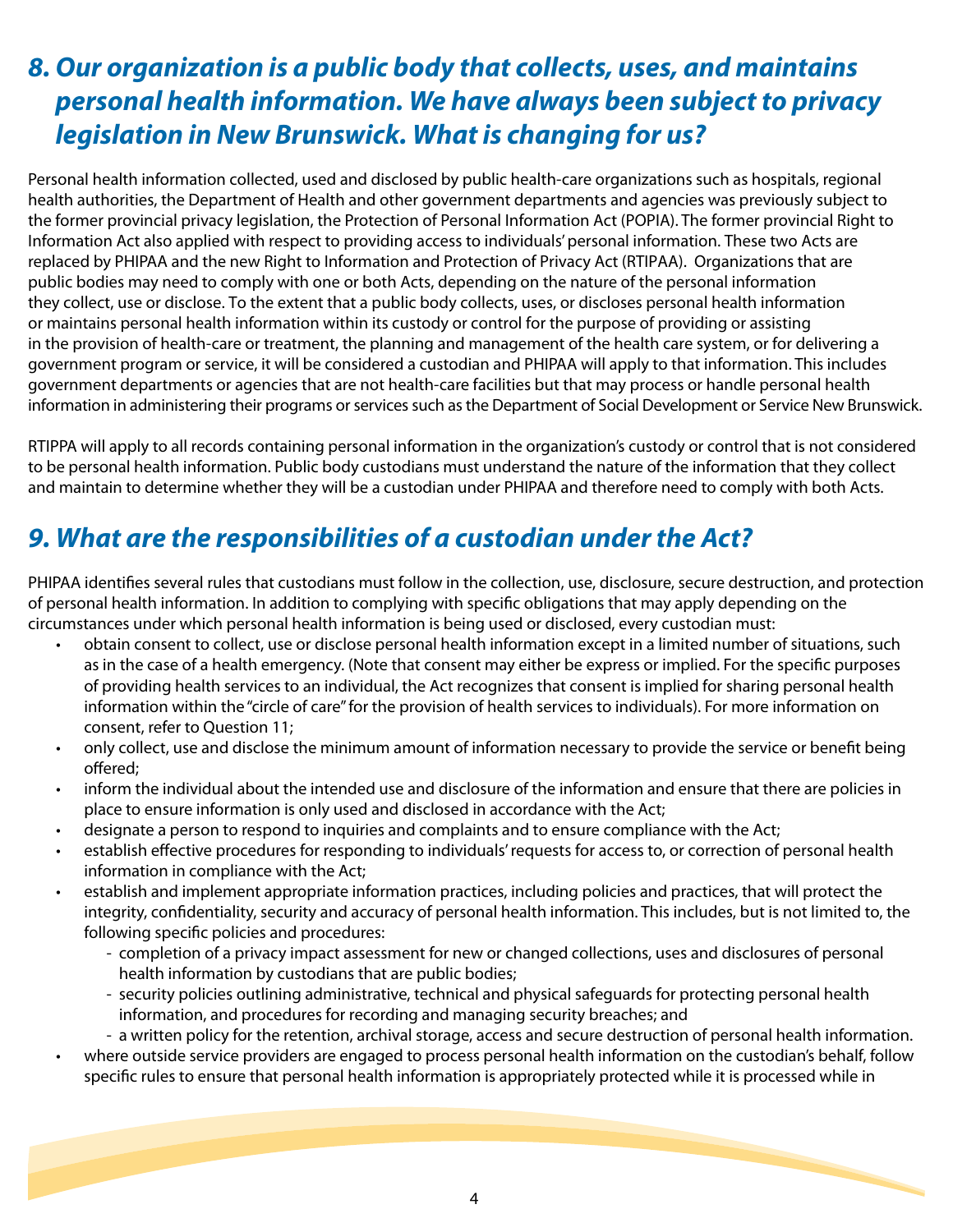### *8. Our organization is a public body that collects, uses, and maintains personal health information. We have always been subject to privacy legislation in New Brunswick. What is changing for us?*

Personal health information collected, used and disclosed by public health-care organizations such as hospitals, regional health authorities, the Department of Health and other government departments and agencies was previously subject to the former provincial privacy legislation, the Protection of Personal Information Act (POPIA). The former provincial Right to Information Act also applied with respect to providing access to individuals' personal information. These two Acts are replaced by PHIPAA and the new Right to Information and Protection of Privacy Act (RTIPAA). Organizations that are public bodies may need to comply with one or both Acts, depending on the nature of the personal information they collect, use or disclose. To the extent that a public body collects, uses, or discloses personal health information or maintains personal health information within its custody or control for the purpose of providing or assisting in the provision of health-care or treatment, the planning and management of the health care system, or for delivering a government program or service, it will be considered a custodian and PHIPAA will apply to that information. This includes government departments or agencies that are not health-care facilities but that may process or handle personal health information in administering their programs or services such as the Department of Social Development or Service New Brunswick.

RTIPPA will apply to all records containing personal information in the organization's custody or control that is not considered to be personal health information. Public body custodians must understand the nature of the information that they collect and maintain to determine whether they will be a custodian under PHIPAA and therefore need to comply with both Acts.

### *9. What are the responsibilities of a custodian under the Act?*

PHIPAA identifies several rules that custodians must follow in the collection, use, disclosure, secure destruction, and protection of personal health information. In addition to complying with specific obligations that may apply depending on the circumstances under which personal health information is being used or disclosed, every custodian must:

- obtain consent to collect, use or disclose personal health information except in a limited number of situations, such as in the case of a health emergency. (Note that consent may either be express or implied. For the specific purposes of providing health services to an individual, the Act recognizes that consent is implied for sharing personal health information within the "circle of care" for the provision of health services to individuals). For more information on consent, refer to Question 11;
- only collect, use and disclose the minimum amount of information necessary to provide the service or benefit being offered;
- inform the individual about the intended use and disclosure of the information and ensure that there are policies in place to ensure information is only used and disclosed in accordance with the Act;
- designate a person to respond to inquiries and complaints and to ensure compliance with the Act;
- establish effective procedures for responding to individuals' requests for access to, or correction of personal health information in compliance with the Act;
- establish and implement appropriate information practices, including policies and practices, that will protect the integrity, confidentiality, security and accuracy of personal health information. This includes, but is not limited to, the following specific policies and procedures:
	- completion of a privacy impact assessment for new or changed collections, uses and disclosures of personal health information by custodians that are public bodies;
	- security policies outlining administrative, technical and physical safeguards for protecting personal health information, and procedures for recording and managing security breaches; and
	- a written policy for the retention, archival storage, access and secure destruction of personal health information.
- where outside service providers are engaged to process personal health information on the custodian's behalf, follow specific rules to ensure that personal health information is appropriately protected while it is processed while in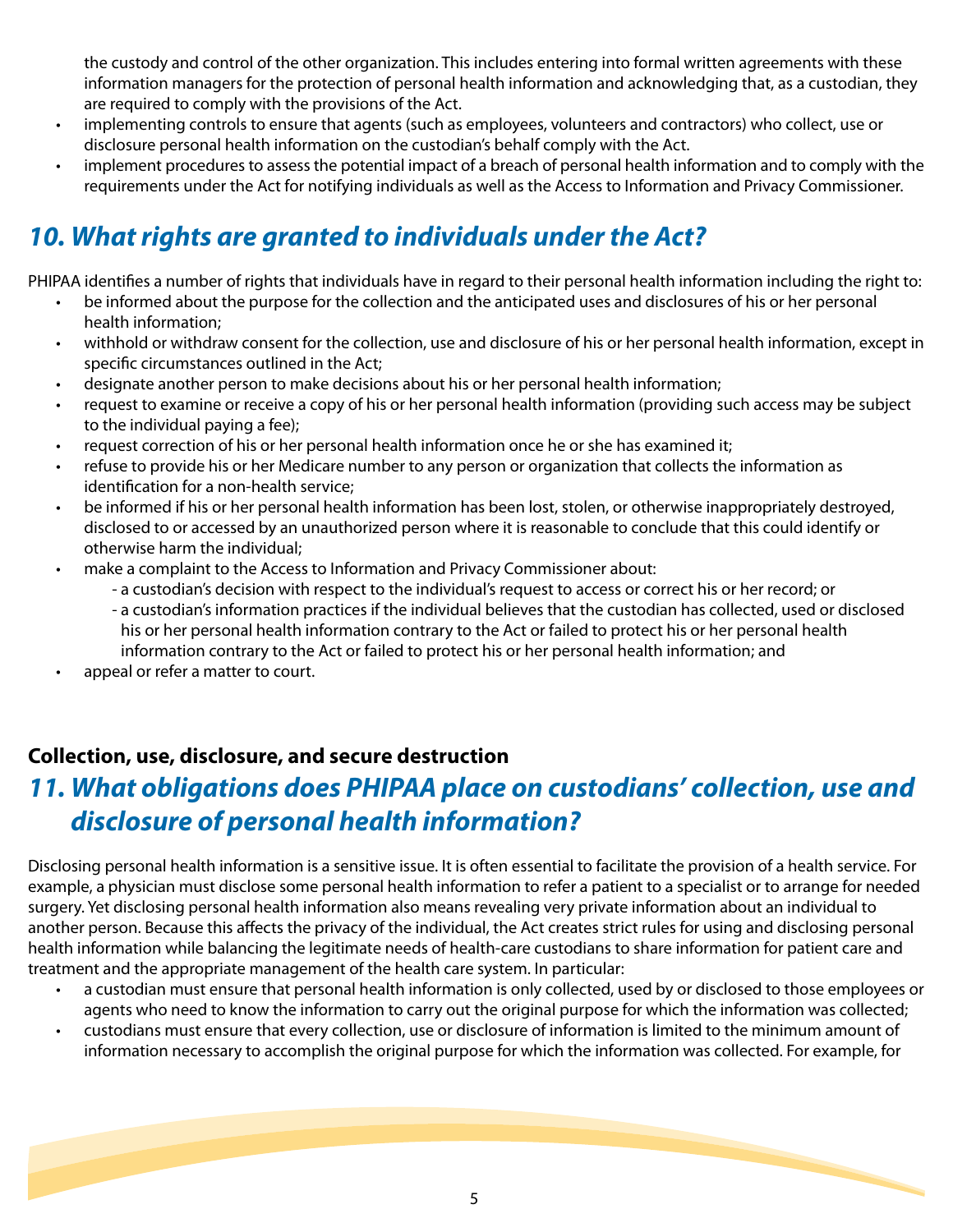the custody and control of the other organization. This includes entering into formal written agreements with these information managers for the protection of personal health information and acknowledging that, as a custodian, they are required to comply with the provisions of the Act.

- implementing controls to ensure that agents (such as employees, volunteers and contractors) who collect, use or disclosure personal health information on the custodian's behalf comply with the Act.
- implement procedures to assess the potential impact of a breach of personal health information and to comply with the requirements under the Act for notifying individuals as well as the Access to Information and Privacy Commissioner.

# *10. What rights are granted to individuals under the Act?*

PHIPAA identifies a number of rights that individuals have in regard to their personal health information including the right to:

- be informed about the purpose for the collection and the anticipated uses and disclosures of his or her personal health information;
- withhold or withdraw consent for the collection, use and disclosure of his or her personal health information, except in specific circumstances outlined in the Act;
- designate another person to make decisions about his or her personal health information;
- request to examine or receive a copy of his or her personal health information (providing such access may be subject to the individual paying a fee);
- request correction of his or her personal health information once he or she has examined it;
- refuse to provide his or her Medicare number to any person or organization that collects the information as identification for a non-health service;
- be informed if his or her personal health information has been lost, stolen, or otherwise inappropriately destroyed, disclosed to or accessed by an unauthorized person where it is reasonable to conclude that this could identify or otherwise harm the individual;
- make a complaint to the Access to Information and Privacy Commissioner about:
	- a custodian's decision with respect to the individual's request to access or correct his or her record; or
	- a custodian's information practices if the individual believes that the custodian has collected, used or disclosed his or her personal health information contrary to the Act or failed to protect his or her personal health information contrary to the Act or failed to protect his or her personal health information; and
- appeal or refer a matter to court.

#### **Collection, use, disclosure, and secure destruction**

#### *11. What obligations does PHIPAA place on custodians' collection, use and disclosure of personal health information?*

Disclosing personal health information is a sensitive issue. It is often essential to facilitate the provision of a health service. For example, a physician must disclose some personal health information to refer a patient to a specialist or to arrange for needed surgery. Yet disclosing personal health information also means revealing very private information about an individual to another person. Because this affects the privacy of the individual, the Act creates strict rules for using and disclosing personal health information while balancing the legitimate needs of health-care custodians to share information for patient care and treatment and the appropriate management of the health care system. In particular:

- a custodian must ensure that personal health information is only collected, used by or disclosed to those employees or agents who need to know the information to carry out the original purpose for which the information was collected;
- custodians must ensure that every collection, use or disclosure of information is limited to the minimum amount of information necessary to accomplish the original purpose for which the information was collected. For example, for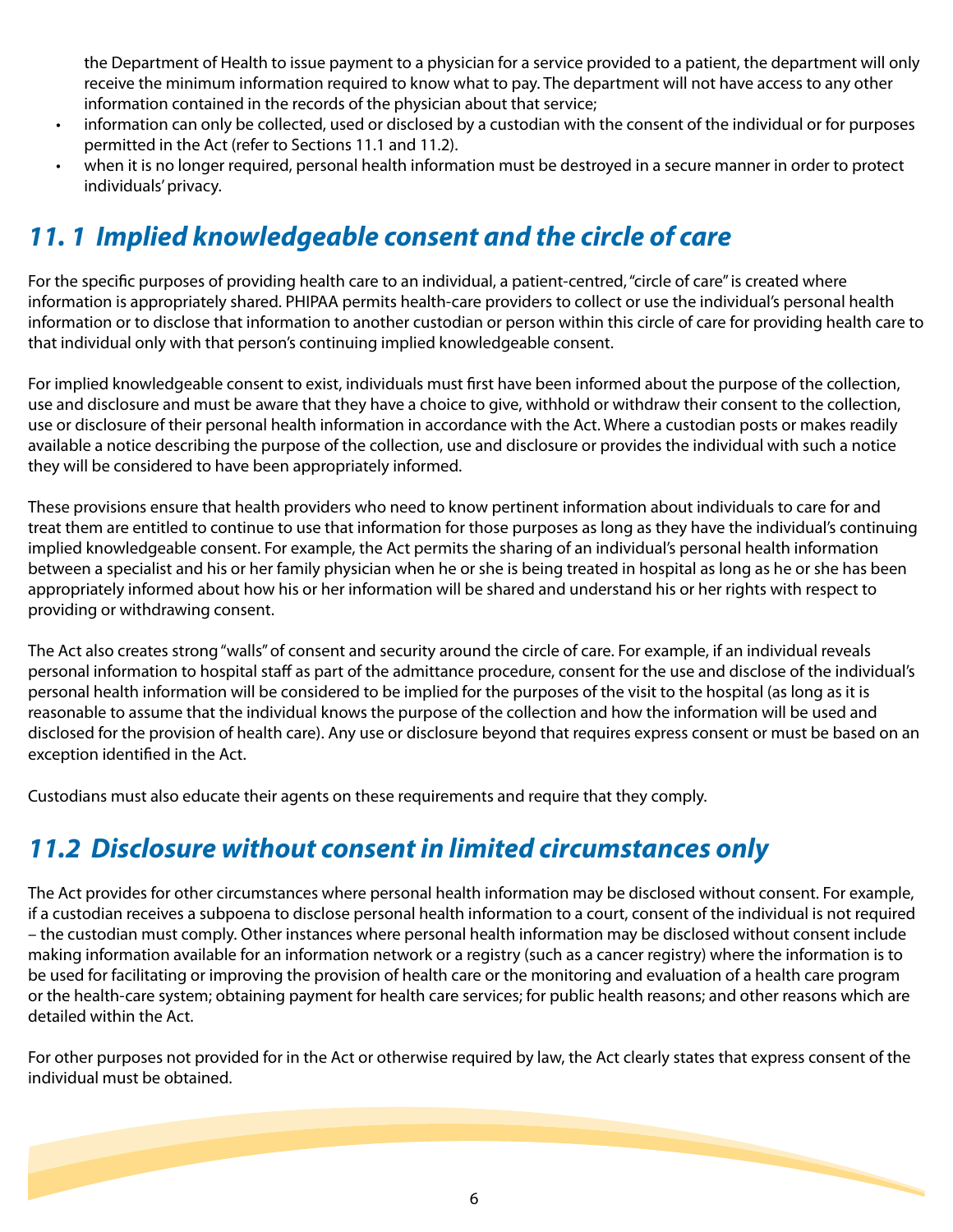the Department of Health to issue payment to a physician for a service provided to a patient, the department will only receive the minimum information required to know what to pay. The department will not have access to any other information contained in the records of the physician about that service;

- information can only be collected, used or disclosed by a custodian with the consent of the individual or for purposes permitted in the Act (refer to Sections 11.1 and 11.2).
- when it is no longer required, personal health information must be destroyed in a secure manner in order to protect individuals' privacy.

#### *11. 1 Implied knowledgeable consent and the circle of care*

For the specific purposes of providing health care to an individual, a patient-centred, "circle of care" is created where information is appropriately shared. PHIPAA permits health-care providers to collect or use the individual's personal health information or to disclose that information to another custodian or person within this circle of care for providing health care to that individual only with that person's continuing implied knowledgeable consent.

For implied knowledgeable consent to exist, individuals must first have been informed about the purpose of the collection, use and disclosure and must be aware that they have a choice to give, withhold or withdraw their consent to the collection, use or disclosure of their personal health information in accordance with the Act. Where a custodian posts or makes readily available a notice describing the purpose of the collection, use and disclosure or provides the individual with such a notice they will be considered to have been appropriately informed.

These provisions ensure that health providers who need to know pertinent information about individuals to care for and treat them are entitled to continue to use that information for those purposes as long as they have the individual's continuing implied knowledgeable consent. For example, the Act permits the sharing of an individual's personal health information between a specialist and his or her family physician when he or she is being treated in hospital as long as he or she has been appropriately informed about how his or her information will be shared and understand his or her rights with respect to providing or withdrawing consent.

The Act also creates strong "walls" of consent and security around the circle of care. For example, if an individual reveals personal information to hospital staff as part of the admittance procedure, consent for the use and disclose of the individual's personal health information will be considered to be implied for the purposes of the visit to the hospital (as long as it is reasonable to assume that the individual knows the purpose of the collection and how the information will be used and disclosed for the provision of health care). Any use or disclosure beyond that requires express consent or must be based on an exception identified in the Act.

Custodians must also educate their agents on these requirements and require that they comply.

### *11.2 Disclosure without consent in limited circumstances only*

The Act provides for other circumstances where personal health information may be disclosed without consent. For example, if a custodian receives a subpoena to disclose personal health information to a court, consent of the individual is not required – the custodian must comply. Other instances where personal health information may be disclosed without consent include making information available for an information network or a registry (such as a cancer registry) where the information is to be used for facilitating or improving the provision of health care or the monitoring and evaluation of a health care program or the health-care system; obtaining payment for health care services; for public health reasons; and other reasons which are detailed within the Act.

For other purposes not provided for in the Act or otherwise required by law, the Act clearly states that express consent of the individual must be obtained.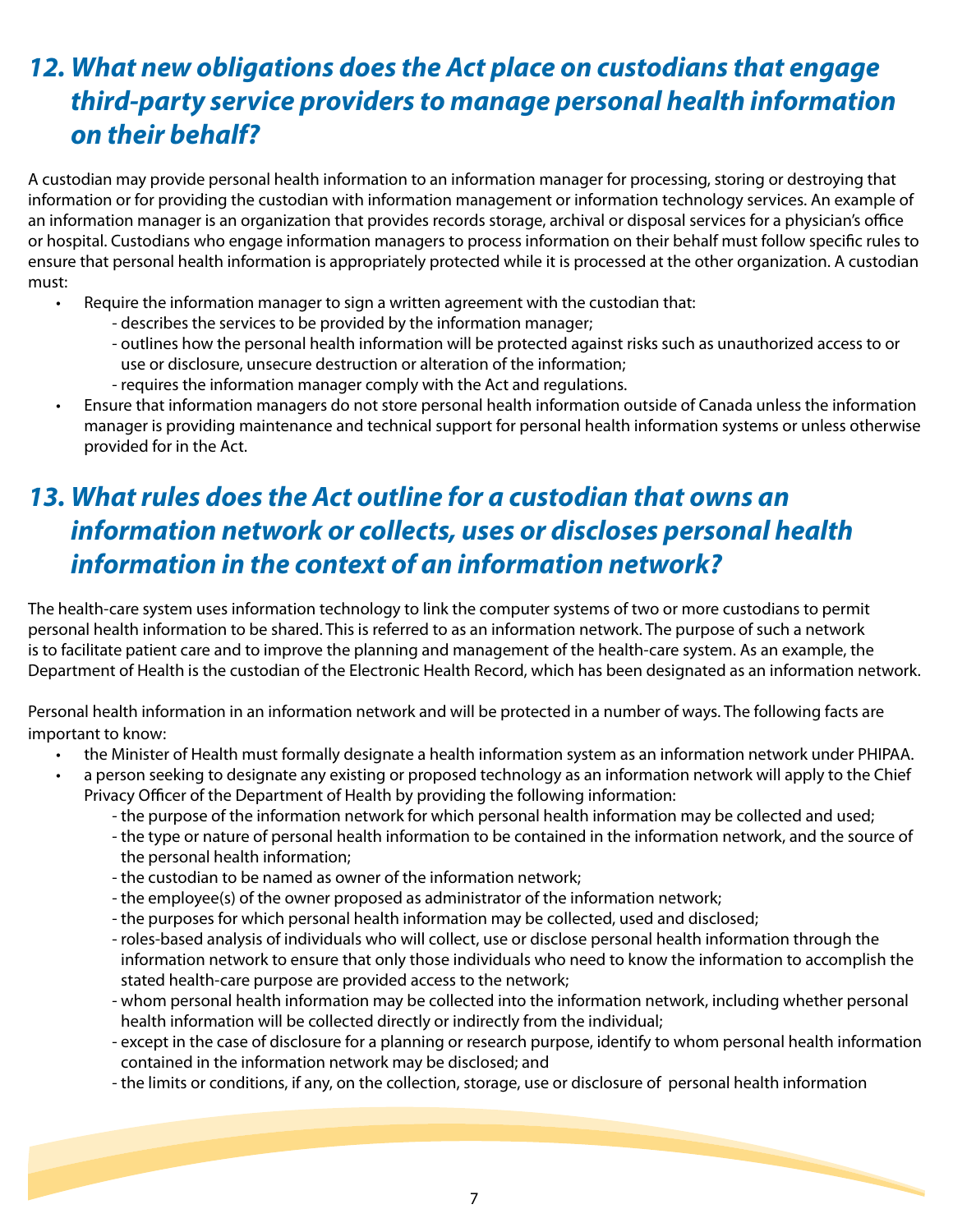#### *12. What new obligations does the Act place on custodians that engage third-party service providers to manage personal health information on their behalf?*

A custodian may provide personal health information to an information manager for processing, storing or destroying that information or for providing the custodian with information management or information technology services. An example of an information manager is an organization that provides records storage, archival or disposal services for a physician's office or hospital. Custodians who engage information managers to process information on their behalf must follow specific rules to ensure that personal health information is appropriately protected while it is processed at the other organization. A custodian must:

- Require the information manager to sign a written agreement with the custodian that:
	- describes the services to be provided by the information manager;
	- outlines how the personal health information will be protected against risks such as unauthorized access to or use or disclosure, unsecure destruction or alteration of the information;
	- requires the information manager comply with the Act and regulations.
- Ensure that information managers do not store personal health information outside of Canada unless the information manager is providing maintenance and technical support for personal health information systems or unless otherwise provided for in the Act.

# *13. What rules does the Act outline for a custodian that owns an information network or collects, uses or discloses personal health information in the context of an information network?*

The health-care system uses information technology to link the computer systems of two or more custodians to permit personal health information to be shared. This is referred to as an information network. The purpose of such a network is to facilitate patient care and to improve the planning and management of the health-care system. As an example, the Department of Health is the custodian of the Electronic Health Record, which has been designated as an information network.

Personal health information in an information network and will be protected in a number of ways. The following facts are important to know:

- the Minister of Health must formally designate a health information system as an information network under PHIPAA.
- a person seeking to designate any existing or proposed technology as an information network will apply to the Chief Privacy Officer of the Department of Health by providing the following information:
	- the purpose of the information network for which personal health information may be collected and used;
	- the type or nature of personal health information to be contained in the information network, and the source of the personal health information;
	- the custodian to be named as owner of the information network;
	- the employee(s) of the owner proposed as administrator of the information network;
	- the purposes for which personal health information may be collected, used and disclosed;
	- roles-based analysis of individuals who will collect, use or disclose personal health information through the information network to ensure that only those individuals who need to know the information to accomplish the stated health-care purpose are provided access to the network;
	- whom personal health information may be collected into the information network, including whether personal health information will be collected directly or indirectly from the individual;
	- except in the case of disclosure for a planning or research purpose, identify to whom personal health information contained in the information network may be disclosed; and
	- the limits or conditions, if any, on the collection, storage, use or disclosure of personal health information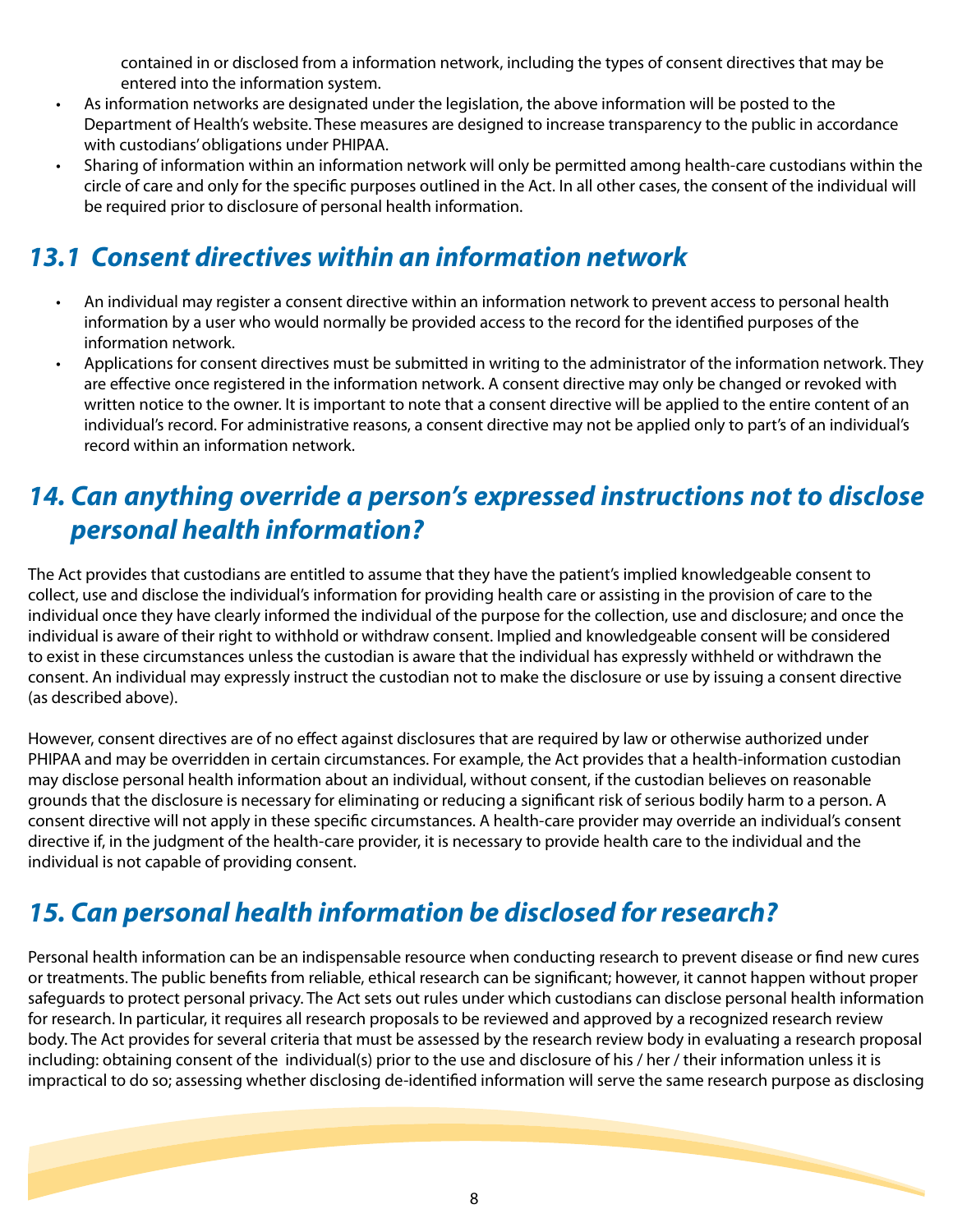contained in or disclosed from a information network, including the types of consent directives that may be entered into the information system.

- As information networks are designated under the legislation, the above information will be posted to the Department of Health's website. These measures are designed to increase transparency to the public in accordance with custodians' obligations under PHIPAA.
- Sharing of information within an information network will only be permitted among health-care custodians within the circle of care and only for the specific purposes outlined in the Act. In all other cases, the consent of the individual will be required prior to disclosure of personal health information.

# *13.1 Consent directives within an information network*

- An individual may register a consent directive within an information network to prevent access to personal health information by a user who would normally be provided access to the record for the identified purposes of the information network.
- Applications for consent directives must be submitted in writing to the administrator of the information network. They are effective once registered in the information network. A consent directive may only be changed or revoked with written notice to the owner. It is important to note that a consent directive will be applied to the entire content of an individual's record. For administrative reasons, a consent directive may not be applied only to part's of an individual's record within an information network.

### *14. Can anything override a person's expressed instructions not to disclose personal health information?*

The Act provides that custodians are entitled to assume that they have the patient's implied knowledgeable consent to collect, use and disclose the individual's information for providing health care or assisting in the provision of care to the individual once they have clearly informed the individual of the purpose for the collection, use and disclosure; and once the individual is aware of their right to withhold or withdraw consent. Implied and knowledgeable consent will be considered to exist in these circumstances unless the custodian is aware that the individual has expressly withheld or withdrawn the consent. An individual may expressly instruct the custodian not to make the disclosure or use by issuing a consent directive (as described above).

However, consent directives are of no effect against disclosures that are required by law or otherwise authorized under PHIPAA and may be overridden in certain circumstances. For example, the Act provides that a health-information custodian may disclose personal health information about an individual, without consent, if the custodian believes on reasonable grounds that the disclosure is necessary for eliminating or reducing a significant risk of serious bodily harm to a person. A consent directive will not apply in these specific circumstances. A health-care provider may override an individual's consent directive if, in the judgment of the health-care provider, it is necessary to provide health care to the individual and the individual is not capable of providing consent.

# *15. Can personal health information be disclosed for research?*

Personal health information can be an indispensable resource when conducting research to prevent disease or find new cures or treatments. The public benefits from reliable, ethical research can be significant; however, it cannot happen without proper safeguards to protect personal privacy. The Act sets out rules under which custodians can disclose personal health information for research. In particular, it requires all research proposals to be reviewed and approved by a recognized research review body. The Act provides for several criteria that must be assessed by the research review body in evaluating a research proposal including: obtaining consent of the individual(s) prior to the use and disclosure of his / her / their information unless it is impractical to do so; assessing whether disclosing de-identified information will serve the same research purpose as disclosing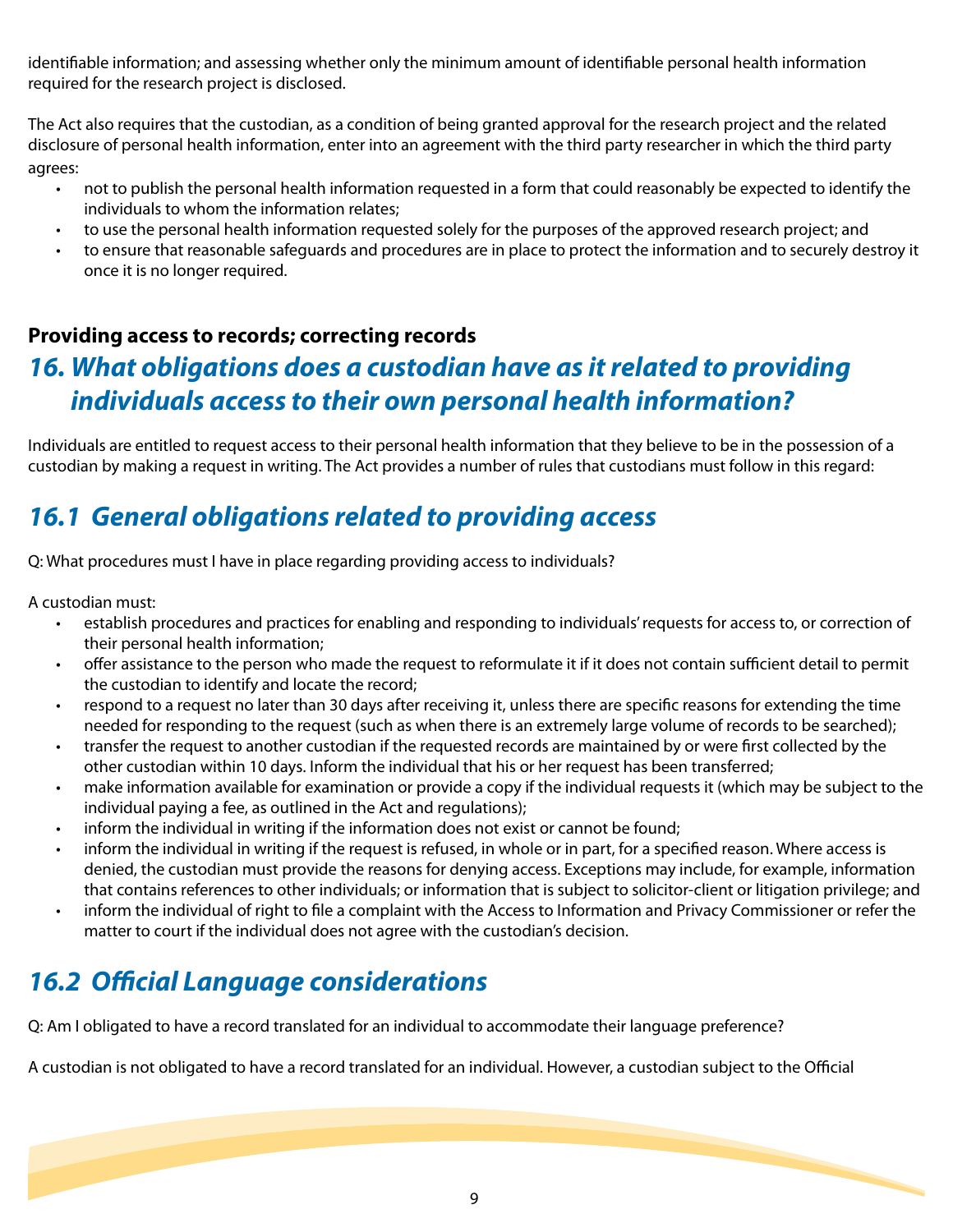identifiable information; and assessing whether only the minimum amount of identifiable personal health information required for the research project is disclosed.

The Act also requires that the custodian, as a condition of being granted approval for the research project and the related disclosure of personal health information, enter into an agreement with the third party researcher in which the third party agrees:

- not to publish the personal health information requested in a form that could reasonably be expected to identify the individuals to whom the information relates;
- to use the personal health information requested solely for the purposes of the approved research project; and
- to ensure that reasonable safeguards and procedures are in place to protect the information and to securely destroy it once it is no longer required.

#### **Providing access to records; correcting records**

#### *16. What obligations does a custodian have as it related to providing individuals access to their own personal health information?*

Individuals are entitled to request access to their personal health information that they believe to be in the possession of a custodian by making a request in writing. The Act provides a number of rules that custodians must follow in this regard:

# *16.1 General obligations related to providing access*

Q: What procedures must I have in place regarding providing access to individuals?

A custodian must:

- establish procedures and practices for enabling and responding to individuals' requests for access to, or correction of their personal health information;
- offer assistance to the person who made the request to reformulate it if it does not contain sufficient detail to permit the custodian to identify and locate the record;
- respond to a request no later than 30 days after receiving it, unless there are specific reasons for extending the time needed for responding to the request (such as when there is an extremely large volume of records to be searched);
- transfer the request to another custodian if the requested records are maintained by or were first collected by the other custodian within 10 days. Inform the individual that his or her request has been transferred;
- make information available for examination or provide a copy if the individual requests it (which may be subject to the individual paying a fee, as outlined in the Act and regulations);
- inform the individual in writing if the information does not exist or cannot be found;
- inform the individual in writing if the request is refused, in whole or in part, for a specified reason. Where access is denied, the custodian must provide the reasons for denying access. Exceptions may include, for example, information that contains references to other individuals; or information that is subject to solicitor-client or litigation privilege; and
- inform the individual of right to file a complaint with the Access to Information and Privacy Commissioner or refer the matter to court if the individual does not agree with the custodian's decision.

# *16.2 Official Language considerations*

Q: Am I obligated to have a record translated for an individual to accommodate their language preference?

A custodian is not obligated to have a record translated for an individual. However, a custodian subject to the Official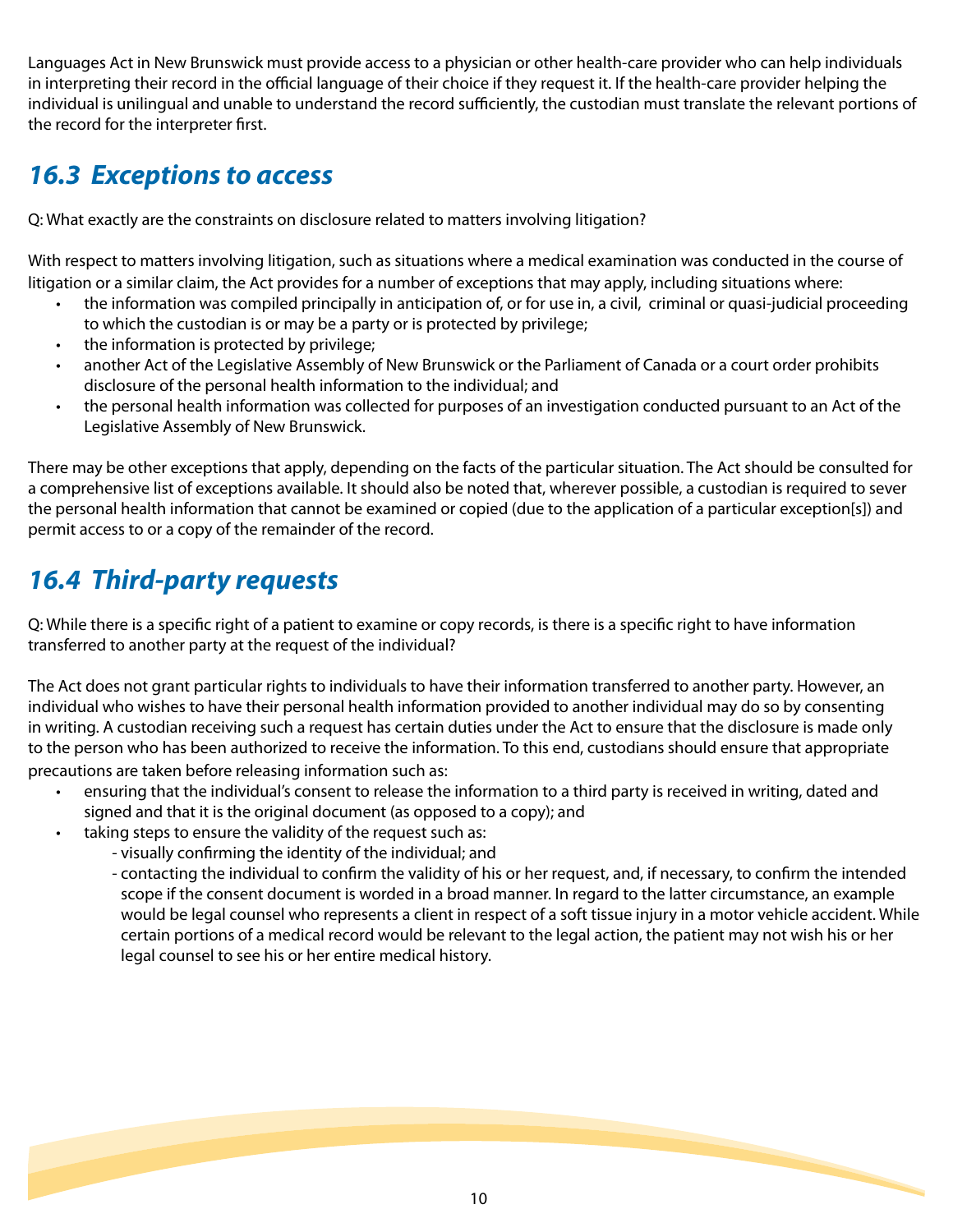Languages Act in New Brunswick must provide access to a physician or other health-care provider who can help individuals in interpreting their record in the official language of their choice if they request it. If the health-care provider helping the individual is unilingual and unable to understand the record sufficiently, the custodian must translate the relevant portions of the record for the interpreter first.

#### *16.3 Exceptions to access*

Q: What exactly are the constraints on disclosure related to matters involving litigation?

With respect to matters involving litigation, such as situations where a medical examination was conducted in the course of litigation or a similar claim, the Act provides for a number of exceptions that may apply, including situations where:

- the information was compiled principally in anticipation of, or for use in, a civil, criminal or quasi-judicial proceeding to which the custodian is or may be a party or is protected by privilege;
- the information is protected by privilege;
- another Act of the Legislative Assembly of New Brunswick or the Parliament of Canada or a court order prohibits disclosure of the personal health information to the individual; and
- the personal health information was collected for purposes of an investigation conducted pursuant to an Act of the Legislative Assembly of New Brunswick.

There may be other exceptions that apply, depending on the facts of the particular situation. The Act should be consulted for a comprehensive list of exceptions available. It should also be noted that, wherever possible, a custodian is required to sever the personal health information that cannot be examined or copied (due to the application of a particular exception[s]) and permit access to or a copy of the remainder of the record.

### *16.4 Third-party requests*

Q: While there is a specific right of a patient to examine or copy records, is there is a specific right to have information transferred to another party at the request of the individual?

The Act does not grant particular rights to individuals to have their information transferred to another party. However, an individual who wishes to have their personal health information provided to another individual may do so by consenting in writing. A custodian receiving such a request has certain duties under the Act to ensure that the disclosure is made only to the person who has been authorized to receive the information. To this end, custodians should ensure that appropriate precautions are taken before releasing information such as:

- ensuring that the individual's consent to release the information to a third party is received in writing, dated and signed and that it is the original document (as opposed to a copy); and
- taking steps to ensure the validity of the request such as:
	- visually confirming the identity of the individual; and
	- contacting the individual to confirm the validity of his or her request, and, if necessary, to confirm the intended scope if the consent document is worded in a broad manner. In regard to the latter circumstance, an example would be legal counsel who represents a client in respect of a soft tissue injury in a motor vehicle accident. While certain portions of a medical record would be relevant to the legal action, the patient may not wish his or her legal counsel to see his or her entire medical history.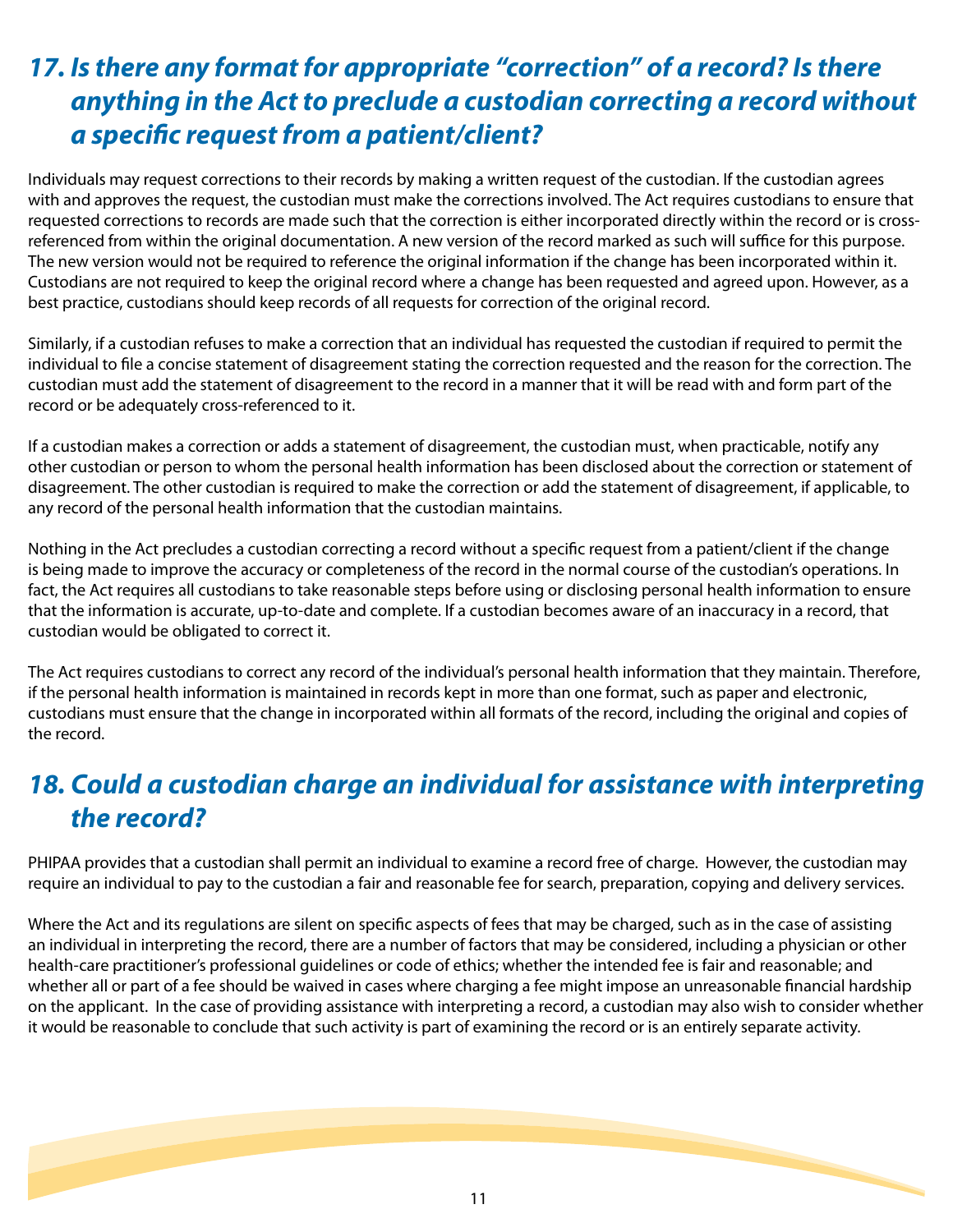### *17. Is there any format for appropriate "correction" of a record? Is there anything in the Act to preclude a custodian correcting a record without a specific request from a patient/client?*

Individuals may request corrections to their records by making a written request of the custodian. If the custodian agrees with and approves the request, the custodian must make the corrections involved. The Act requires custodians to ensure that requested corrections to records are made such that the correction is either incorporated directly within the record or is crossreferenced from within the original documentation. A new version of the record marked as such will suffice for this purpose. The new version would not be required to reference the original information if the change has been incorporated within it. Custodians are not required to keep the original record where a change has been requested and agreed upon. However, as a best practice, custodians should keep records of all requests for correction of the original record.

Similarly, if a custodian refuses to make a correction that an individual has requested the custodian if required to permit the individual to file a concise statement of disagreement stating the correction requested and the reason for the correction. The custodian must add the statement of disagreement to the record in a manner that it will be read with and form part of the record or be adequately cross-referenced to it.

If a custodian makes a correction or adds a statement of disagreement, the custodian must, when practicable, notify any other custodian or person to whom the personal health information has been disclosed about the correction or statement of disagreement. The other custodian is required to make the correction or add the statement of disagreement, if applicable, to any record of the personal health information that the custodian maintains.

Nothing in the Act precludes a custodian correcting a record without a specific request from a patient/client if the change is being made to improve the accuracy or completeness of the record in the normal course of the custodian's operations. In fact, the Act requires all custodians to take reasonable steps before using or disclosing personal health information to ensure that the information is accurate, up-to-date and complete. If a custodian becomes aware of an inaccuracy in a record, that custodian would be obligated to correct it.

The Act requires custodians to correct any record of the individual's personal health information that they maintain. Therefore, if the personal health information is maintained in records kept in more than one format, such as paper and electronic, custodians must ensure that the change in incorporated within all formats of the record, including the original and copies of the record.

# **18. Could a custodian charge an individual for assistance with interpreting** *the record?*

PHIPAA provides that a custodian shall permit an individual to examine a record free of charge. However, the custodian may require an individual to pay to the custodian a fair and reasonable fee for search, preparation, copying and delivery services.

Where the Act and its regulations are silent on specific aspects of fees that may be charged, such as in the case of assisting an individual in interpreting the record, there are a number of factors that may be considered, including a physician or other health-care practitioner's professional guidelines or code of ethics; whether the intended fee is fair and reasonable; and whether all or part of a fee should be waived in cases where charging a fee might impose an unreasonable financial hardship on the applicant. In the case of providing assistance with interpreting a record, a custodian may also wish to consider whether it would be reasonable to conclude that such activity is part of examining the record or is an entirely separate activity.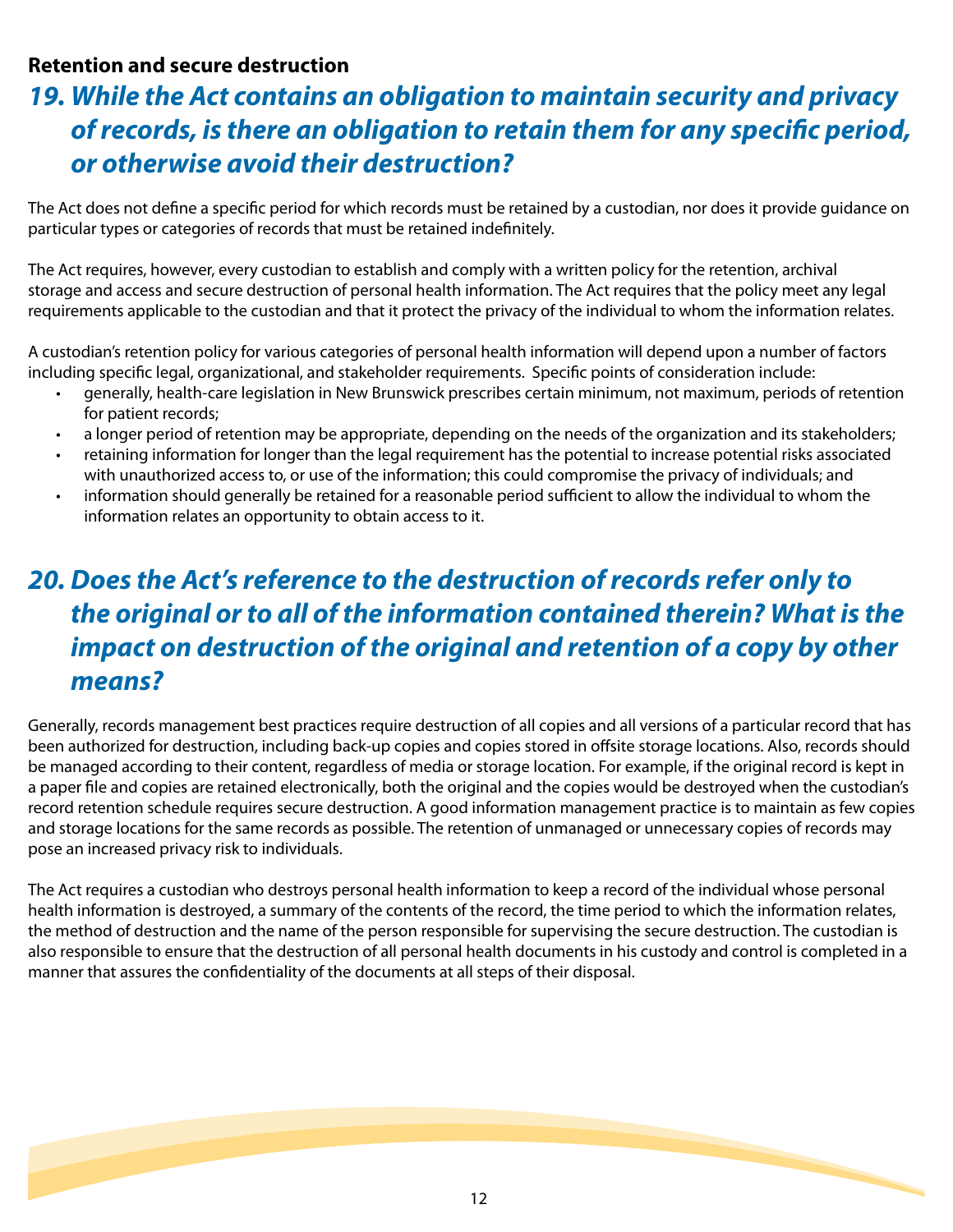#### **Retention and secure destruction**

#### *19. While the Act contains an obligation to maintain security and privacy of records, is there an obligation to retain them for any specific period, or otherwise avoid their destruction?*

The Act does not define a specific period for which records must be retained by a custodian, nor does it provide guidance on particular types or categories of records that must be retained indefinitely.

The Act requires, however, every custodian to establish and comply with a written policy for the retention, archival storage and access and secure destruction of personal health information. The Act requires that the policy meet any legal requirements applicable to the custodian and that it protect the privacy of the individual to whom the information relates.

A custodian's retention policy for various categories of personal health information will depend upon a number of factors including specific legal, organizational, and stakeholder requirements. Specific points of consideration include:

- generally, health-care legislation in New Brunswick prescribes certain minimum, not maximum, periods of retention for patient records;
- a longer period of retention may be appropriate, depending on the needs of the organization and its stakeholders;
- retaining information for longer than the legal requirement has the potential to increase potential risks associated with unauthorized access to, or use of the information; this could compromise the privacy of individuals; and
- information should generally be retained for a reasonable period sufficient to allow the individual to whom the information relates an opportunity to obtain access to it.

### *20. Does the Act's reference to the destruction of records refer only to the original or to all of the information contained therein? What is the impact on destruction of the original and retention of a copy by other means?*

Generally, records management best practices require destruction of all copies and all versions of a particular record that has been authorized for destruction, including back-up copies and copies stored in offsite storage locations. Also, records should be managed according to their content, regardless of media or storage location. For example, if the original record is kept in a paper file and copies are retained electronically, both the original and the copies would be destroyed when the custodian's record retention schedule requires secure destruction. A good information management practice is to maintain as few copies and storage locations for the same records as possible. The retention of unmanaged or unnecessary copies of records may pose an increased privacy risk to individuals.

The Act requires a custodian who destroys personal health information to keep a record of the individual whose personal health information is destroyed, a summary of the contents of the record, the time period to which the information relates, the method of destruction and the name of the person responsible for supervising the secure destruction. The custodian is also responsible to ensure that the destruction of all personal health documents in his custody and control is completed in a manner that assures the confidentiality of the documents at all steps of their disposal.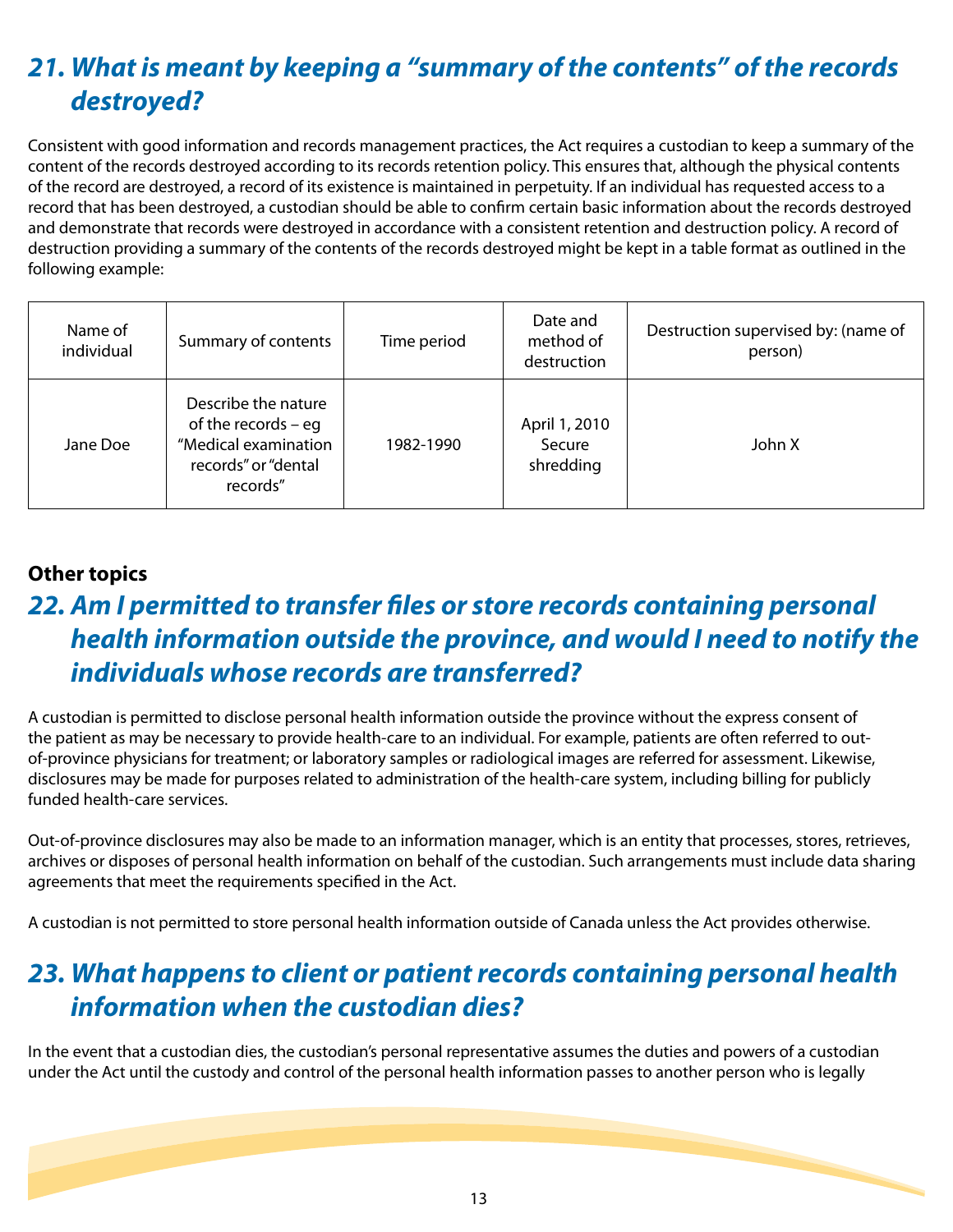# *21. What is meant by keeping a "summary of the contents" of the records destroyed?*

Consistent with good information and records management practices, the Act requires a custodian to keep a summary of the content of the records destroyed according to its records retention policy. This ensures that, although the physical contents of the record are destroyed, a record of its existence is maintained in perpetuity. If an individual has requested access to a record that has been destroyed, a custodian should be able to confirm certain basic information about the records destroyed and demonstrate that records were destroyed in accordance with a consistent retention and destruction policy. A record of destruction providing a summary of the contents of the records destroyed might be kept in a table format as outlined in the following example:

| Name of<br>individual | Summary of contents                                                                                     | Time period | Date and<br>method of<br>destruction | Destruction supervised by: (name of<br>person) |
|-----------------------|---------------------------------------------------------------------------------------------------------|-------------|--------------------------------------|------------------------------------------------|
| Jane Doe              | Describe the nature<br>of the records $-$ eg<br>"Medical examination<br>records" or "dental<br>records" | 1982-1990   | April 1, 2010<br>Secure<br>shredding | John X                                         |

#### **Other topics**

# *22. Am I permitted to transfer files or store records containing personal health information outside the province, and would I need to notify the individuals whose records are transferred?*

A custodian is permitted to disclose personal health information outside the province without the express consent of the patient as may be necessary to provide health-care to an individual. For example, patients are often referred to outof-province physicians for treatment; or laboratory samples or radiological images are referred for assessment. Likewise, disclosures may be made for purposes related to administration of the health-care system, including billing for publicly funded health-care services.

Out-of-province disclosures may also be made to an information manager, which is an entity that processes, stores, retrieves, archives or disposes of personal health information on behalf of the custodian. Such arrangements must include data sharing agreements that meet the requirements specified in the Act.

A custodian is not permitted to store personal health information outside of Canada unless the Act provides otherwise.

### *23. What happens to client or patient records containing personal health information when the custodian dies?*

In the event that a custodian dies, the custodian's personal representative assumes the duties and powers of a custodian under the Act until the custody and control of the personal health information passes to another person who is legally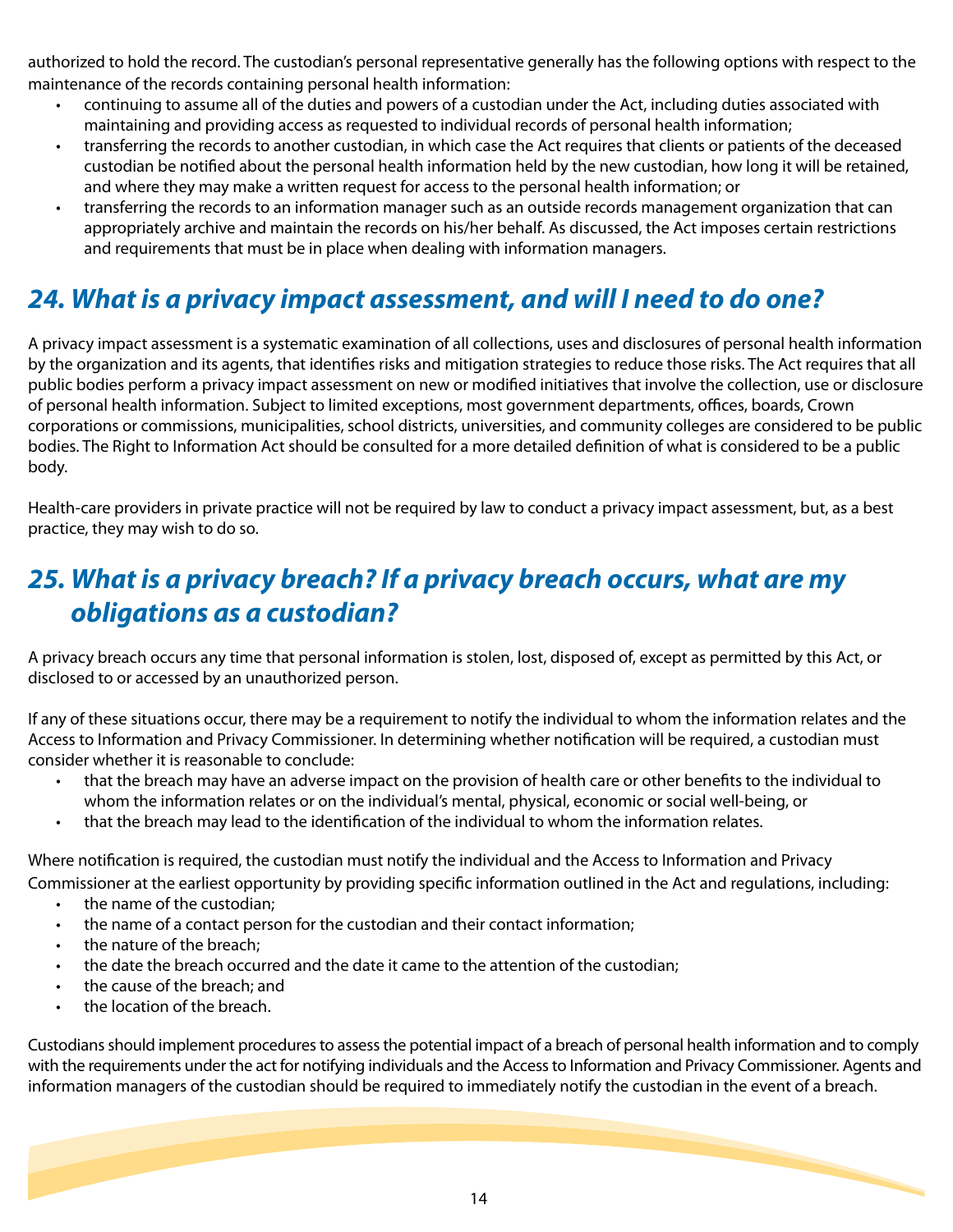authorized to hold the record. The custodian's personal representative generally has the following options with respect to the maintenance of the records containing personal health information:

- continuing to assume all of the duties and powers of a custodian under the Act, including duties associated with maintaining and providing access as requested to individual records of personal health information;
- transferring the records to another custodian, in which case the Act requires that clients or patients of the deceased custodian be notified about the personal health information held by the new custodian, how long it will be retained, and where they may make a written request for access to the personal health information; or
- transferring the records to an information manager such as an outside records management organization that can appropriately archive and maintain the records on his/her behalf. As discussed, the Act imposes certain restrictions and requirements that must be in place when dealing with information managers.

### *24. What is a privacy impact assessment, and will I need to do one?*

A privacy impact assessment is a systematic examination of all collections, uses and disclosures of personal health information by the organization and its agents, that identifies risks and mitigation strategies to reduce those risks. The Act requires that all public bodies perform a privacy impact assessment on new or modified initiatives that involve the collection, use or disclosure of personal health information. Subject to limited exceptions, most government departments, offices, boards, Crown corporations or commissions, municipalities, school districts, universities, and community colleges are considered to be public bodies. The Right to Information Act should be consulted for a more detailed definition of what is considered to be a public body.

Health-care providers in private practice will not be required by law to conduct a privacy impact assessment, but, as a best practice, they may wish to do so.

### *25. What is a privacy breach? If a privacy breach occurs, what are my obligations as a custodian?*

A privacy breach occurs any time that personal information is stolen, lost, disposed of, except as permitted by this Act, or disclosed to or accessed by an unauthorized person.

If any of these situations occur, there may be a requirement to notify the individual to whom the information relates and the Access to Information and Privacy Commissioner. In determining whether notification will be required, a custodian must consider whether it is reasonable to conclude:

- that the breach may have an adverse impact on the provision of health care or other benefits to the individual to whom the information relates or on the individual's mental, physical, economic or social well-being, or
- that the breach may lead to the identification of the individual to whom the information relates.

Where notification is required, the custodian must notify the individual and the Access to Information and Privacy Commissioner at the earliest opportunity by providing specific information outlined in the Act and regulations, including:

- the name of the custodian:
- the name of a contact person for the custodian and their contact information;
- the nature of the breach:
- the date the breach occurred and the date it came to the attention of the custodian;
- the cause of the breach; and
- the location of the breach.

Custodians should implement procedures to assess the potential impact of a breach of personal health information and to comply with the requirements under the act for notifying individuals and the Access to Information and Privacy Commissioner. Agents and information managers of the custodian should be required to immediately notify the custodian in the event of a breach.